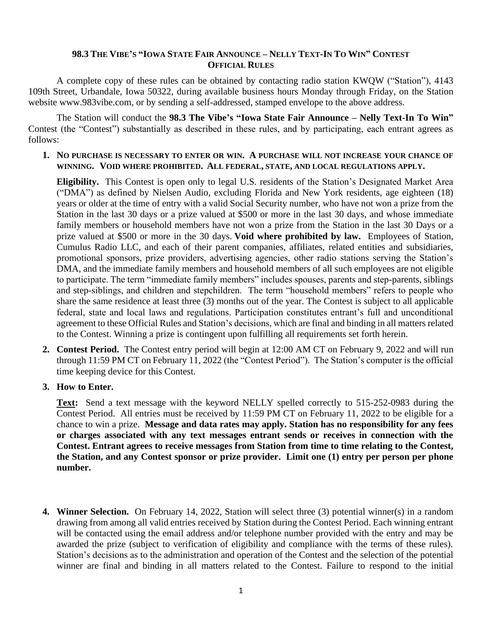## 98.3 THE VIBE'S "IOWA STATE FAIR ANNOUNCE – NELLY TEXT-IN TO WIN" CONTEST **OFFICIAL RULES**

A complete copy of these rules can be obtained by contacting radio station KWQW ("Station"), 4143 109th Street, Urbandale, Iowa 50322, during available business hours Monday through Friday, on the Station website www.983vibe.com, or by sending a self-addressed, stamped envelope to the above address.

The Station will conduct the **98.3 The Vibe's "Iowa State Fair Announce – Nelly Text-In To Win"**  Contest (the "Contest") substantially as described in these rules, and by participating, each entrant agrees as follows:

## **1. NO PURCHASE IS NECESSARY TO ENTER OR WIN. A PURCHASE WILL NOT INCREASE YOUR CHANCE OF WINNING. VOID WHERE PROHIBITED. ALL FEDERAL, STATE, AND LOCAL REGULATIONS APPLY.**

**Eligibility.** This Contest is open only to legal U.S. residents of the Station's Designated Market Area ("DMA") as defined by Nielsen Audio, excluding Florida and New York residents, age eighteen (18) years or older at the time of entry with a valid Social Security number, who have not won a prize from the Station in the last 30 days or a prize valued at \$500 or more in the last 30 days, and whose immediate family members or household members have not won a prize from the Station in the last 30 Days or a prize valued at \$500 or more in the 30 days. **Void where prohibited by law.** Employees of Station, Cumulus Radio LLC, and each of their parent companies, affiliates, related entities and subsidiaries, promotional sponsors, prize providers, advertising agencies, other radio stations serving the Station's DMA, and the immediate family members and household members of all such employees are not eligible to participate. The term "immediate family members" includes spouses, parents and step-parents, siblings and step-siblings, and children and stepchildren. The term "household members" refers to people who share the same residence at least three (3) months out of the year. The Contest is subject to all applicable federal, state and local laws and regulations. Participation constitutes entrant's full and unconditional agreement to these Official Rules and Station's decisions, which are final and binding in all matters related to the Contest. Winning a prize is contingent upon fulfilling all requirements set forth herein.

- **2. Contest Period.** The Contest entry period will begin at 12:00 AM CT on February 9, 2022 and will run through 11:59 PM CT on February 11, 2022 (the "Contest Period"). The Station's computer is the official time keeping device for this Contest.
- **3. How to Enter.**

**Text:** Send a text message with the keyword NELLY spelled correctly to 515-252-0983 during the Contest Period. All entries must be received by 11:59 PM CT on February 11, 2022 to be eligible for a chance to win a prize. **Message and data rates may apply. Station has no responsibility for any fees or charges associated with any text messages entrant sends or receives in connection with the Contest. Entrant agrees to receive messages from Station from time to time relating to the Contest, the Station, and any Contest sponsor or prize provider. Limit one (1) entry per person per phone number.**

**4. Winner Selection.** On February 14, 2022, Station will select three (3) potential winner(s) in a random drawing from among all valid entries received by Station during the Contest Period. Each winning entrant will be contacted using the email address and/or telephone number provided with the entry and may be awarded the prize (subject to verification of eligibility and compliance with the terms of these rules). Station's decisions as to the administration and operation of the Contest and the selection of the potential winner are final and binding in all matters related to the Contest. Failure to respond to the initial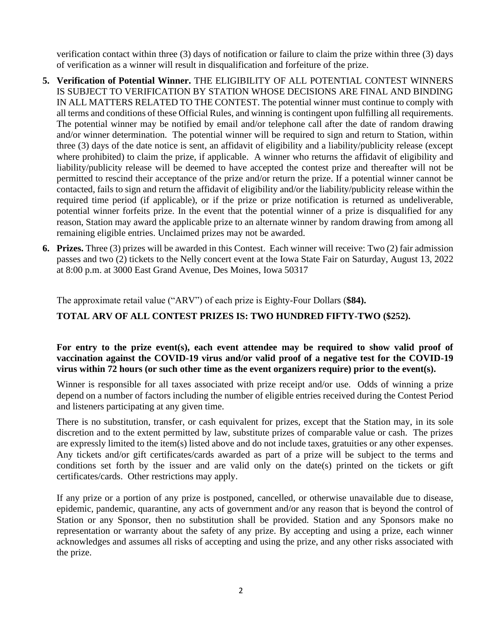verification contact within three (3) days of notification or failure to claim the prize within three (3) days of verification as a winner will result in disqualification and forfeiture of the prize.

- **5. Verification of Potential Winner.** THE ELIGIBILITY OF ALL POTENTIAL CONTEST WINNERS IS SUBJECT TO VERIFICATION BY STATION WHOSE DECISIONS ARE FINAL AND BINDING IN ALL MATTERS RELATED TO THE CONTEST. The potential winner must continue to comply with all terms and conditions of these Official Rules, and winning is contingent upon fulfilling all requirements. The potential winner may be notified by email and/or telephone call after the date of random drawing and/or winner determination. The potential winner will be required to sign and return to Station, within three (3) days of the date notice is sent, an affidavit of eligibility and a liability/publicity release (except where prohibited) to claim the prize, if applicable. A winner who returns the affidavit of eligibility and liability/publicity release will be deemed to have accepted the contest prize and thereafter will not be permitted to rescind their acceptance of the prize and/or return the prize. If a potential winner cannot be contacted, fails to sign and return the affidavit of eligibility and/or the liability/publicity release within the required time period (if applicable), or if the prize or prize notification is returned as undeliverable, potential winner forfeits prize. In the event that the potential winner of a prize is disqualified for any reason, Station may award the applicable prize to an alternate winner by random drawing from among all remaining eligible entries. Unclaimed prizes may not be awarded.
- **6. Prizes.** Three (3) prizes will be awarded in this Contest. Each winner will receive: Two (2) fair admission passes and two (2) tickets to the Nelly concert event at the Iowa State Fair on Saturday, August 13, 2022 at 8:00 p.m. at 3000 East Grand Avenue, Des Moines, Iowa 50317

The approximate retail value ("ARV") of each prize is Eighty-Four Dollars (**\$84).** 

**TOTAL ARV OF ALL CONTEST PRIZES IS: TWO HUNDRED FIFTY-TWO (\$252).**

## **For entry to the prize event(s), each event attendee may be required to show valid proof of vaccination against the COVID-19 virus and/or valid proof of a negative test for the COVID-19 virus within 72 hours (or such other time as the event organizers require) prior to the event(s).**

Winner is responsible for all taxes associated with prize receipt and/or use. Odds of winning a prize depend on a number of factors including the number of eligible entries received during the Contest Period and listeners participating at any given time.

There is no substitution, transfer, or cash equivalent for prizes, except that the Station may, in its sole discretion and to the extent permitted by law, substitute prizes of comparable value or cash. The prizes are expressly limited to the item(s) listed above and do not include taxes, gratuities or any other expenses. Any tickets and/or gift certificates/cards awarded as part of a prize will be subject to the terms and conditions set forth by the issuer and are valid only on the date(s) printed on the tickets or gift certificates/cards. Other restrictions may apply.

If any prize or a portion of any prize is postponed, cancelled, or otherwise unavailable due to disease, epidemic, pandemic, quarantine, any acts of government and/or any reason that is beyond the control of Station or any Sponsor, then no substitution shall be provided. Station and any Sponsors make no representation or warranty about the safety of any prize. By accepting and using a prize, each winner acknowledges and assumes all risks of accepting and using the prize, and any other risks associated with the prize.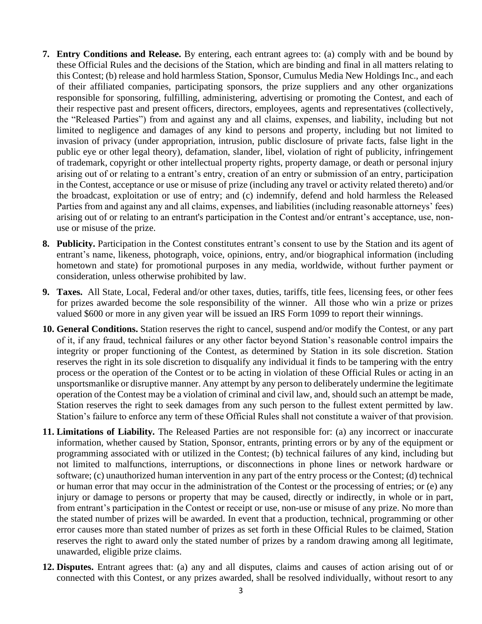- **7. Entry Conditions and Release.** By entering, each entrant agrees to: (a) comply with and be bound by these Official Rules and the decisions of the Station, which are binding and final in all matters relating to this Contest; (b) release and hold harmless Station, Sponsor, Cumulus Media New Holdings Inc., and each of their affiliated companies, participating sponsors, the prize suppliers and any other organizations responsible for sponsoring, fulfilling, administering, advertising or promoting the Contest, and each of their respective past and present officers, directors, employees, agents and representatives (collectively, the "Released Parties") from and against any and all claims, expenses, and liability, including but not limited to negligence and damages of any kind to persons and property, including but not limited to invasion of privacy (under appropriation, intrusion, public disclosure of private facts, false light in the public eye or other legal theory), defamation, slander, libel, violation of right of publicity, infringement of trademark, copyright or other intellectual property rights, property damage, or death or personal injury arising out of or relating to a entrant's entry, creation of an entry or submission of an entry, participation in the Contest, acceptance or use or misuse of prize (including any travel or activity related thereto) and/or the broadcast, exploitation or use of entry; and (c) indemnify, defend and hold harmless the Released Parties from and against any and all claims, expenses, and liabilities (including reasonable attorneys' fees) arising out of or relating to an entrant's participation in the Contest and/or entrant's acceptance, use, nonuse or misuse of the prize.
- **8. Publicity.** Participation in the Contest constitutes entrant's consent to use by the Station and its agent of entrant's name, likeness, photograph, voice, opinions, entry, and/or biographical information (including hometown and state) for promotional purposes in any media, worldwide, without further payment or consideration, unless otherwise prohibited by law.
- **9. Taxes.** All State, Local, Federal and/or other taxes, duties, tariffs, title fees, licensing fees, or other fees for prizes awarded become the sole responsibility of the winner. All those who win a prize or prizes valued \$600 or more in any given year will be issued an IRS Form 1099 to report their winnings.
- **10. General Conditions.** Station reserves the right to cancel, suspend and/or modify the Contest, or any part of it, if any fraud, technical failures or any other factor beyond Station's reasonable control impairs the integrity or proper functioning of the Contest, as determined by Station in its sole discretion. Station reserves the right in its sole discretion to disqualify any individual it finds to be tampering with the entry process or the operation of the Contest or to be acting in violation of these Official Rules or acting in an unsportsmanlike or disruptive manner. Any attempt by any person to deliberately undermine the legitimate operation of the Contest may be a violation of criminal and civil law, and, should such an attempt be made, Station reserves the right to seek damages from any such person to the fullest extent permitted by law. Station's failure to enforce any term of these Official Rules shall not constitute a waiver of that provision.
- **11. Limitations of Liability.** The Released Parties are not responsible for: (a) any incorrect or inaccurate information, whether caused by Station, Sponsor, entrants, printing errors or by any of the equipment or programming associated with or utilized in the Contest; (b) technical failures of any kind, including but not limited to malfunctions, interruptions, or disconnections in phone lines or network hardware or software; (c) unauthorized human intervention in any part of the entry process or the Contest; (d) technical or human error that may occur in the administration of the Contest or the processing of entries; or (e) any injury or damage to persons or property that may be caused, directly or indirectly, in whole or in part, from entrant's participation in the Contest or receipt or use, non-use or misuse of any prize. No more than the stated number of prizes will be awarded. In event that a production, technical, programming or other error causes more than stated number of prizes as set forth in these Official Rules to be claimed, Station reserves the right to award only the stated number of prizes by a random drawing among all legitimate, unawarded, eligible prize claims.
- **12. Disputes.** Entrant agrees that: (a) any and all disputes, claims and causes of action arising out of or connected with this Contest, or any prizes awarded, shall be resolved individually, without resort to any